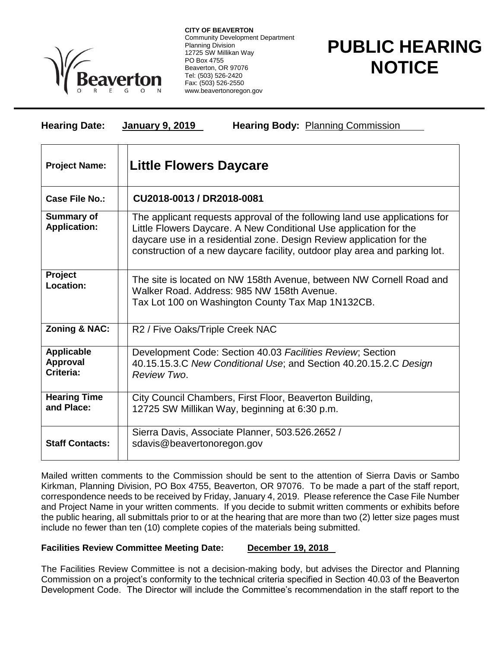

**CITY OF BEAVERTON** Community Development Department Planning Division 12725 SW Millikan Way PO Box 4755 Beaverton, OR 97076 Tel: (503) 526-2420 Fax: (503) 526-2550 www.beavertonoregon.gov

## **PUBLIC HEARING NOTICE**

| <b>Hearing Date:</b>                              | Hearing Body: Planning Commission<br><b>January 9, 2019</b>                                                                                                                                                                                                                                           |
|---------------------------------------------------|-------------------------------------------------------------------------------------------------------------------------------------------------------------------------------------------------------------------------------------------------------------------------------------------------------|
| <b>Project Name:</b>                              | <b>Little Flowers Daycare</b>                                                                                                                                                                                                                                                                         |
| Case File No.:                                    | CU2018-0013 / DR2018-0081                                                                                                                                                                                                                                                                             |
| <b>Summary of</b><br><b>Application:</b>          | The applicant requests approval of the following land use applications for<br>Little Flowers Daycare. A New Conditional Use application for the<br>daycare use in a residential zone. Design Review application for the<br>construction of a new daycare facility, outdoor play area and parking lot. |
| Project<br>Location:                              | The site is located on NW 158th Avenue, between NW Cornell Road and<br>Walker Road, Address: 985 NW 158th Avenue.<br>Tax Lot 100 on Washington County Tax Map 1N132CB.                                                                                                                                |
| Zoning & NAC:                                     | R2 / Five Oaks/Triple Creek NAC                                                                                                                                                                                                                                                                       |
| <b>Applicable</b><br><b>Approval</b><br>Criteria: | Development Code: Section 40.03 Facilities Review; Section<br>40.15.15.3.C New Conditional Use; and Section 40.20.15.2.C Design<br>Review Two.                                                                                                                                                        |
| <b>Hearing Time</b><br>and Place:                 | City Council Chambers, First Floor, Beaverton Building,<br>12725 SW Millikan Way, beginning at 6:30 p.m.                                                                                                                                                                                              |
| <b>Staff Contacts:</b>                            | Sierra Davis, Associate Planner, 503.526.2652 /<br>sdavis@beavertonoregon.gov                                                                                                                                                                                                                         |

Mailed written comments to the Commission should be sent to the attention of Sierra Davis or Sambo Kirkman, Planning Division, PO Box 4755, Beaverton, OR 97076. To be made a part of the staff report, correspondence needs to be received by Friday, January 4, 2019. Please reference the Case File Number and Project Name in your written comments. If you decide to submit written comments or exhibits before the public hearing, all submittals prior to or at the hearing that are more than two (2) letter size pages must include no fewer than ten (10) complete copies of the materials being submitted.

## **Facilities Review Committee Meeting Date: December 19, 2018**

The Facilities Review Committee is not a decision-making body, but advises the Director and Planning Commission on a project's conformity to the technical criteria specified in Section 40.03 of the Beaverton Development Code. The Director will include the Committee's recommendation in the staff report to the